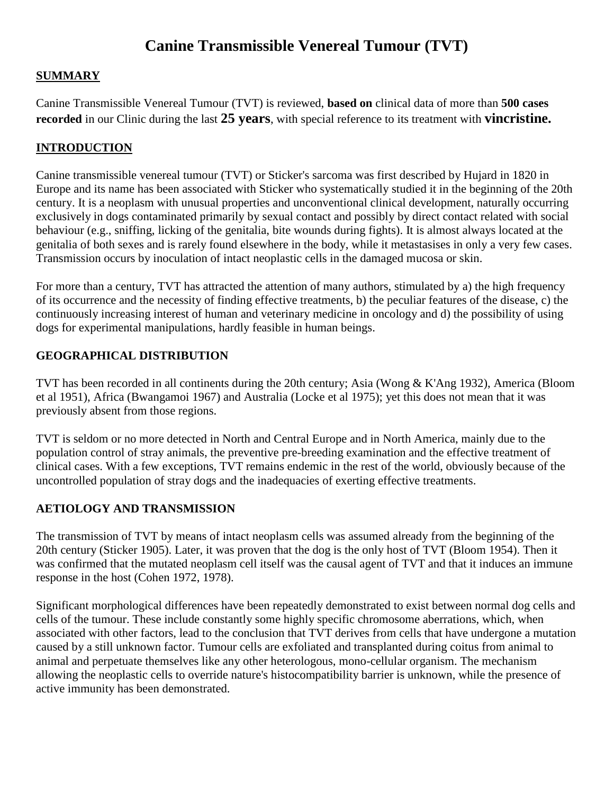# **Canine Transmissible Venereal Tumour (TVT)**

### **SUMMARY**

Canine Transmissible Venereal Tumour (TVT) is reviewed, **based on** clinical data of more than **500 cases recorded** in our Clinic during the last **25 years**, with special reference to its treatment with **vincristine.**

## **INTRODUCTION**

Canine transmissible venereal tumour (TVT) or Sticker's sarcoma was first described by Hujard in 1820 in Europe and its name has been associated with Sticker who systematically studied it in the beginning of the 20th century. It is a neoplasm with unusual properties and unconventional clinical development, naturally occurring exclusively in dogs contaminated primarily by sexual contact and possibly by direct contact related with social behaviour (e.g., sniffing, licking of the genitalia, bite wounds during fights). It is almost always located at the genitalia of both sexes and is rarely found elsewhere in the body, while it metastasises in only a very few cases. Transmission occurs by inoculation of intact neoplastic cells in the damaged mucosa or skin.

For more than a century, TVT has attracted the attention of many authors, stimulated by a) the high frequency of its occurrence and the necessity of finding effective treatments, b) the peculiar features of the disease, c) the continuously increasing interest of human and veterinary medicine in oncology and d) the possibility of using dogs for experimental manipulations, hardly feasible in human beings.

### **GEOGRAPHICAL DISTRIBUTION**

TVT has been recorded in all continents during the 20th century; Asia (Wong & K'Ang 1932), America (Bloom et al 1951), Africa (Bwangamoi 1967) and Australia (Locke et al 1975); yet this does not mean that it was previously absent from those regions.

TVT is seldom or no more detected in North and Central Europe and in North America, mainly due to the population control of stray animals, the preventive pre-breeding examination and the effective treatment of clinical cases. With a few exceptions, TVT remains endemic in the rest of the world, obviously because of the uncontrolled population of stray dogs and the inadequacies of exerting effective treatments.

#### **AETIOLOGY AND TRANSMISSION**

The transmission of TVT by means of intact neoplasm cells was assumed already from the beginning of the 20th century (Sticker 1905). Later, it was proven that the dog is the only host of TVT (Bloom 1954). Then it was confirmed that the mutated neoplasm cell itself was the causal agent of TVT and that it induces an immune response in the host (Cohen 1972, 1978).

Significant morphological differences have been repeatedly demonstrated to exist between normal dog cells and cells of the tumour. These include constantly some highly specific chromosome aberrations, which, when associated with other factors, lead to the conclusion that TVT derives from cells that have undergone a mutation caused by a still unknown factor. Tumour cells are exfoliated and transplanted during coitus from animal to animal and perpetuate themselves like any other heterologous, mono-cellular organism. The mechanism allowing the neoplastic cells to override nature's histocompatibility barrier is unknown, while the presence of active immunity has been demonstrated.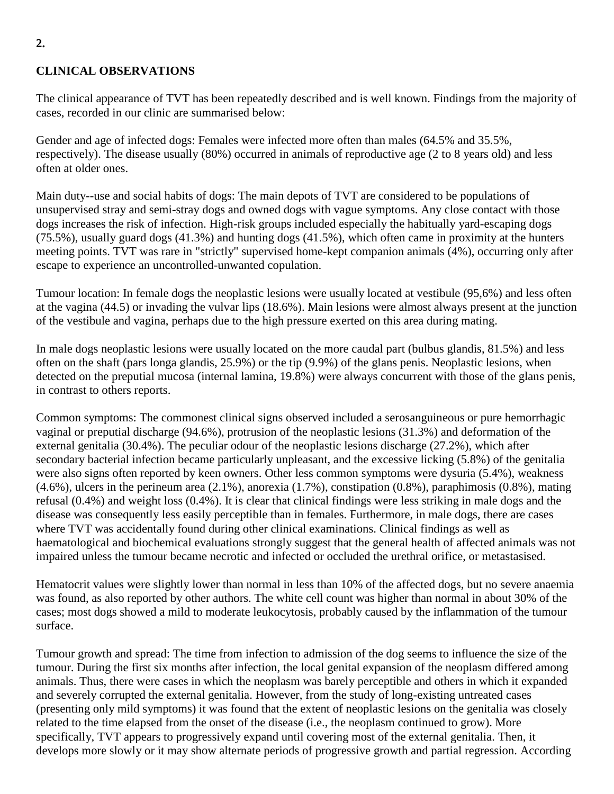# **CLINICAL OBSERVATIONS**

The clinical appearance of TVT has been repeatedly described and is well known. Findings from the majority of cases, recorded in our clinic are summarised below:

Gender and age of infected dogs: Females were infected more often than males (64.5% and 35.5%, respectively). The disease usually (80%) occurred in animals of reproductive age (2 to 8 years old) and less often at older ones.

Main duty--use and social habits of dogs: The main depots of TVT are considered to be populations of unsupervised stray and semi-stray dogs and owned dogs with vague symptoms. Any close contact with those dogs increases the risk of infection. High-risk groups included especially the habitually yard-escaping dogs (75.5%), usually guard dogs (41.3%) and hunting dogs (41.5%), which often came in proximity at the hunters meeting points. TVT was rare in "strictly" supervised home-kept companion animals (4%), occurring only after escape to experience an uncontrolled-unwanted copulation.

Tumour location: In female dogs the neoplastic lesions were usually located at vestibule (95,6%) and less often at the vagina (44.5) or invading the vulvar lips (18.6%). Main lesions were almost always present at the junction of the vestibule and vagina, perhaps due to the high pressure exerted on this area during mating.

In male dogs neoplastic lesions were usually located on the more caudal part (bulbus glandis, 81.5%) and less often on the shaft (pars longa glandis, 25.9%) or the tip (9.9%) of the glans penis. Neoplastic lesions, when detected on the preputial mucosa (internal lamina, 19.8%) were always concurrent with those of the glans penis, in contrast to others reports.

Common symptoms: The commonest clinical signs observed included a serosanguineous or pure hemorrhagic vaginal or preputial discharge (94.6%), protrusion of the neoplastic lesions (31.3%) and deformation of the external genitalia (30.4%). The peculiar odour of the neoplastic lesions discharge (27.2%), which after secondary bacterial infection became particularly unpleasant, and the excessive licking (5.8%) of the genitalia were also signs often reported by keen owners. Other less common symptoms were dysuria (5.4%), weakness (4.6%), ulcers in the perineum area (2.1%), anorexia (1.7%), constipation (0.8%), paraphimosis (0.8%), mating refusal (0.4%) and weight loss (0.4%). It is clear that clinical findings were less striking in male dogs and the disease was consequently less easily perceptible than in females. Furthermore, in male dogs, there are cases where TVT was accidentally found during other clinical examinations. Clinical findings as well as haematological and biochemical evaluations strongly suggest that the general health of affected animals was not impaired unless the tumour became necrotic and infected or occluded the urethral orifice, or metastasised.

Hematocrit values were slightly lower than normal in less than 10% of the affected dogs, but no severe anaemia was found, as also reported by other authors. The white cell count was higher than normal in about 30% of the cases; most dogs showed a mild to moderate leukocytosis, probably caused by the inflammation of the tumour surface.

Tumour growth and spread: The time from infection to admission of the dog seems to influence the size of the tumour. During the first six months after infection, the local genital expansion of the neoplasm differed among animals. Thus, there were cases in which the neoplasm was barely perceptible and others in which it expanded and severely corrupted the external genitalia. However, from the study of long-existing untreated cases (presenting only mild symptoms) it was found that the extent of neoplastic lesions on the genitalia was closely related to the time elapsed from the onset of the disease (i.e., the neoplasm continued to grow). More specifically, TVT appears to progressively expand until covering most of the external genitalia. Then, it develops more slowly or it may show alternate periods of progressive growth and partial regression. According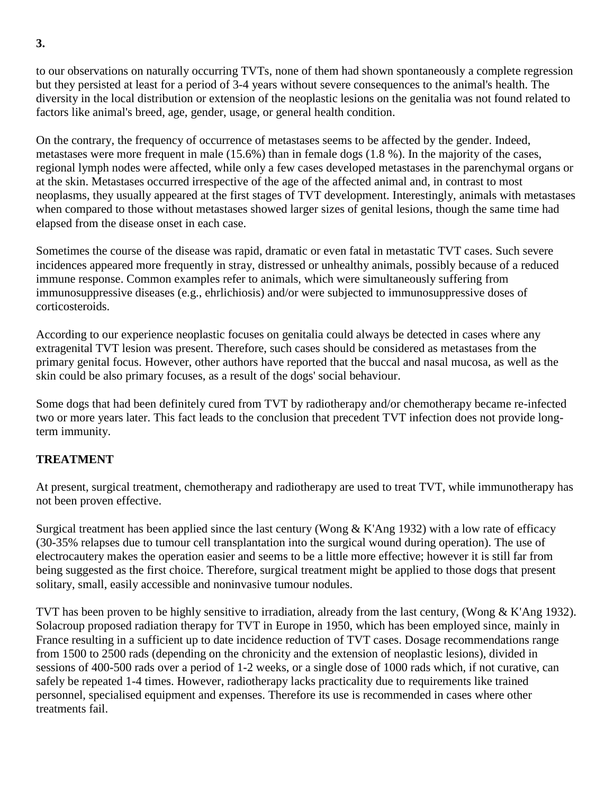to our observations on naturally occurring TVTs, none of them had shown spontaneously a complete regression but they persisted at least for a period of 3-4 years without severe consequences to the animal's health. The diversity in the local distribution or extension of the neoplastic lesions on the genitalia was not found related to factors like animal's breed, age, gender, usage, or general health condition.

On the contrary, the frequency of occurrence of metastases seems to be affected by the gender. Indeed, metastases were more frequent in male (15.6%) than in female dogs (1.8 %). In the majority of the cases, regional lymph nodes were affected, while only a few cases developed metastases in the parenchymal organs or at the skin. Metastases occurred irrespective of the age of the affected animal and, in contrast to most neoplasms, they usually appeared at the first stages of TVT development. Interestingly, animals with metastases when compared to those without metastases showed larger sizes of genital lesions, though the same time had elapsed from the disease onset in each case.

Sometimes the course of the disease was rapid, dramatic or even fatal in metastatic TVT cases. Such severe incidences appeared more frequently in stray, distressed or unhealthy animals, possibly because of a reduced immune response. Common examples refer to animals, which were simultaneously suffering from immunosuppressive diseases (e.g., ehrlichiosis) and/or were subjected to immunosuppressive doses of corticosteroids.

According to our experience neoplastic focuses on genitalia could always be detected in cases where any extragenital TVT lesion was present. Therefore, such cases should be considered as metastases from the primary genital focus. However, other authors have reported that the buccal and nasal mucosa, as well as the skin could be also primary focuses, as a result of the dogs' social behaviour.

Some dogs that had been definitely cured from TVT by radiotherapy and/or chemotherapy became re-infected two or more years later. This fact leads to the conclusion that precedent TVT infection does not provide longterm immunity.

#### **TREATMENT**

At present, surgical treatment, chemotherapy and radiotherapy are used to treat TVT, while immunotherapy has not been proven effective.

Surgical treatment has been applied since the last century (Wong  $&$  K'Ang 1932) with a low rate of efficacy (30-35% relapses due to tumour cell transplantation into the surgical wound during operation). The use of electrocautery makes the operation easier and seems to be a little more effective; however it is still far from being suggested as the first choice. Therefore, surgical treatment might be applied to those dogs that present solitary, small, easily accessible and noninvasive tumour nodules.

TVT has been proven to be highly sensitive to irradiation, already from the last century, (Wong & K'Ang 1932). Solacroup proposed radiation therapy for TVT in Europe in 1950, which has been employed since, mainly in France resulting in a sufficient up to date incidence reduction of TVT cases. Dosage recommendations range from 1500 to 2500 rads (depending on the chronicity and the extension of neoplastic lesions), divided in sessions of 400-500 rads over a period of 1-2 weeks, or a single dose of 1000 rads which, if not curative, can safely be repeated 1-4 times. However, radiotherapy lacks practicality due to requirements like trained personnel, specialised equipment and expenses. Therefore its use is recommended in cases where other treatments fail.